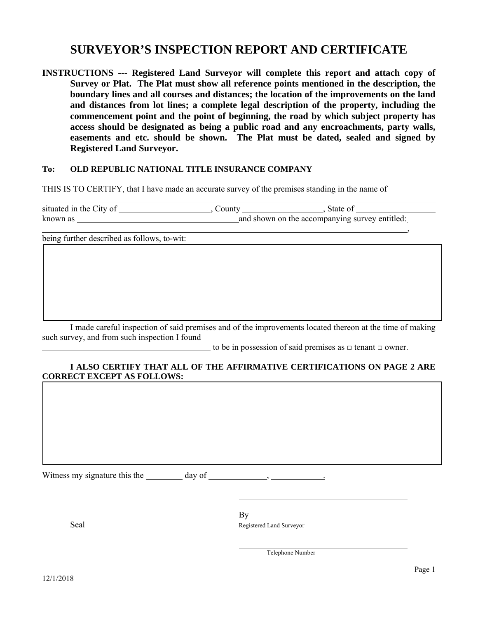## **SURVEYOR'S INSPECTION REPORT AND CERTIFICATE**

**INSTRUCTIONS --- Registered Land Surveyor will complete this report and attach copy of Survey or Plat. The Plat must show all reference points mentioned in the description, the boundary lines and all courses and distances; the location of the improvements on the land and distances from lot lines; a complete legal description of the property, including the commencement point and the point of beginning, the road by which subject property has access should be designated as being a public road and any encroachments, party walls, easements and etc. should be shown. The Plat must be dated, sealed and signed by Registered Land Surveyor.** 

## **To: OLD REPUBLIC NATIONAL TITLE INSURANCE COMPANY**

THIS IS TO CERTIFY, that I have made an accurate survey of the premises standing in the name of

| situated in the City of | _ounty                                         | State of |
|-------------------------|------------------------------------------------|----------|
| known as                | and shown on the accompanying survey entitled: |          |

, where  $\mathcal{L}$  is the contract of the contract of the contract of the contract of the contract of the contract of the contract of the contract of the contract of the contract of the contract of the contract of the contr

being further described as follows, to-wit:

 I made careful inspection of said premises and of the improvements located thereon at the time of making such survey, and from such inspection I found

to be in possession of said premises as  $\Box$  tenant  $\Box$  owner.

## **I ALSO CERTIFY THAT ALL OF THE AFFIRMATIVE CERTIFICATIONS ON PAGE 2 ARE CORRECT EXCEPT AS FOLLOWS:**

Witness my signature this the day of , .

By a state of the state of the state of the state of the state of the state of the state of the state of the state of the state of the state of the state of the state of the state of the state of the state of the state of

Seal Registered Land Surveyor

Telephone Number